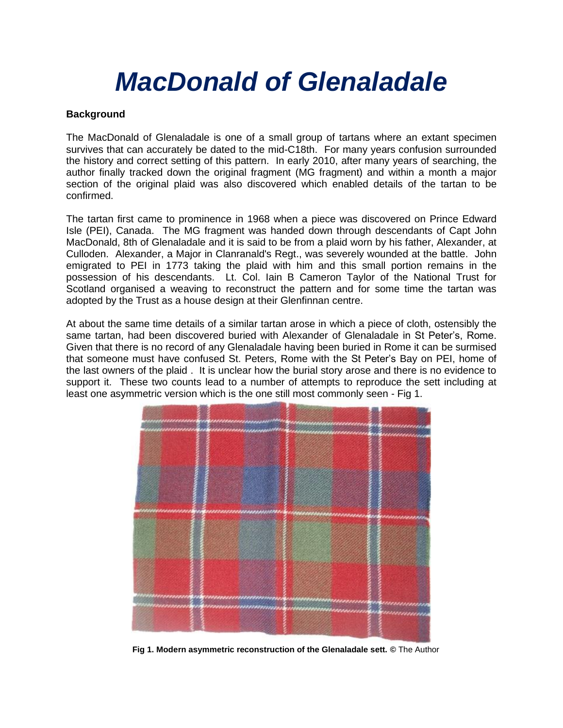# *MacDonald of Glenaladale*

## **Background**

The MacDonald of Glenaladale is one of a small group of tartans where an extant specimen survives that can accurately be dated to the mid-C18th. For many years confusion surrounded the history and correct setting of this pattern. In early 2010, after many years of searching, the author finally tracked down the original fragment (MG fragment) and within a month a major section of the original plaid was also discovered which enabled details of the tartan to be confirmed.

The tartan first came to prominence in 1968 when a piece was discovered on Prince Edward Isle (PEI), Canada. The MG fragment was handed down through descendants of Capt John MacDonald, 8th of Glenaladale and it is said to be from a plaid worn by his father, Alexander, at Culloden. Alexander, a Major in Clanranald's Regt., was severely wounded at the battle. John emigrated to PEI in 1773 taking the plaid with him and this small portion remains in the possession of his descendants. Lt. Col. Iain B Cameron Taylor of the National Trust for Scotland organised a weaving to reconstruct the pattern and for some time the tartan was adopted by the Trust as a house design at their Glenfinnan centre.

At about the same time details of a similar tartan arose in which a piece of cloth, ostensibly the same tartan, had been discovered buried with Alexander of Glenaladale in St Peter's, Rome. Given that there is no record of any Glenaladale having been buried in Rome it can be surmised that someone must have confused St. Peters, Rome with the St Peter's Bay on PEI, home of the last owners of the plaid . It is unclear how the burial story arose and there is no evidence to support it. These two counts lead to a number of attempts to reproduce the sett including at least one asymmetric version which is the one still most commonly seen - Fig 1.



**Fig 1. Modern asymmetric reconstruction of the Glenaladale sett. ©** The Author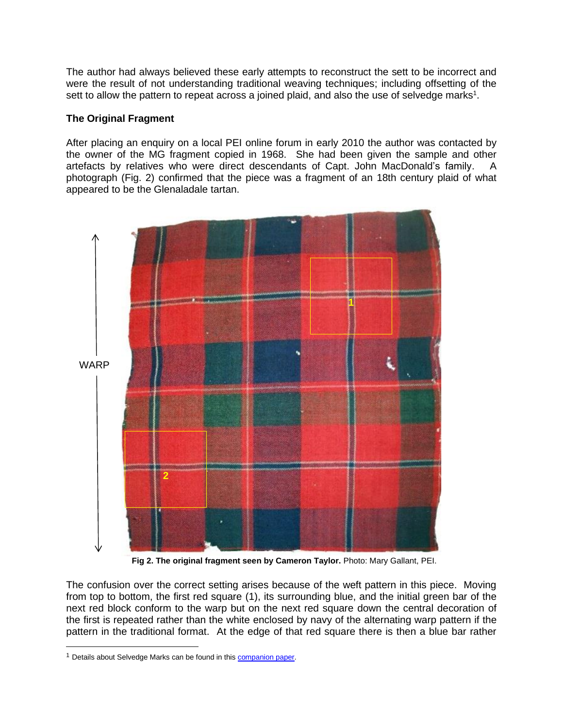The author had always believed these early attempts to reconstruct the sett to be incorrect and were the result of not understanding traditional weaving techniques; including offsetting of the sett to allow the pattern to repeat across a joined plaid, and also the use of selvedge marks<sup>1</sup>.

## **The Original Fragment**

After placing an enquiry on a local PEI online forum in early 2010 the author was contacted by the owner of the MG fragment copied in 1968. She had been given the sample and other artefacts by relatives who were direct descendants of Capt. John MacDonald's family. A photograph (Fig. 2) confirmed that the piece was a fragment of an 18th century plaid of what appeared to be the Glenaladale tartan.



**Fig 2. The original fragment seen by Cameron Taylor.** Photo: Mary Gallant, PEI.

The confusion over the correct setting arises because of the weft pattern in this piece. Moving from top to bottom, the first red square (1), its surrounding blue, and the initial green bar of the next red block conform to the warp but on the next red square down the central decoration of the first is repeated rather than the white enclosed by navy of the alternating warp pattern if the pattern in the traditional format. At the edge of that red square there is then a blue bar rather

<sup>&</sup>lt;sup>1</sup> Details about Selvedge Marks can be found in this **companion paper**.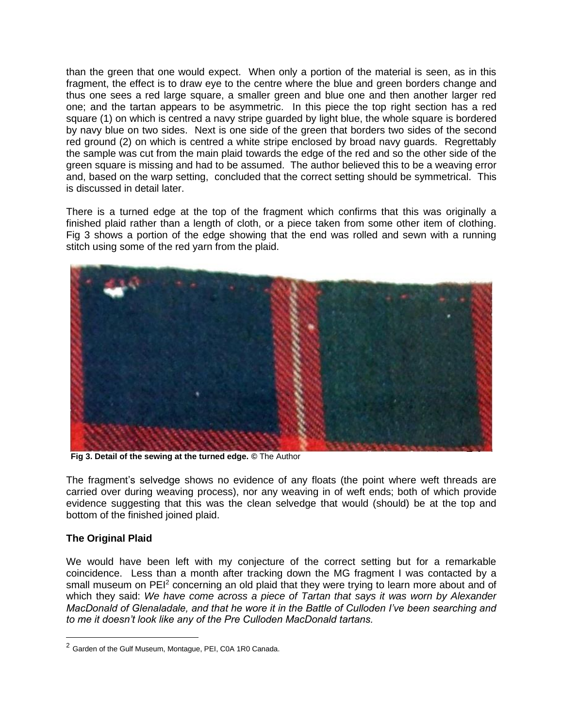than the green that one would expect. When only a portion of the material is seen, as in this fragment, the effect is to draw eye to the centre where the blue and green borders change and thus one sees a red large square, a smaller green and blue one and then another larger red one; and the tartan appears to be asymmetric. In this piece the top right section has a red square (1) on which is centred a navy stripe guarded by light blue, the whole square is bordered by navy blue on two sides. Next is one side of the green that borders two sides of the second red ground (2) on which is centred a white stripe enclosed by broad navy guards. Regrettably the sample was cut from the main plaid towards the edge of the red and so the other side of the green square is missing and had to be assumed. The author believed this to be a weaving error and, based on the warp setting, concluded that the correct setting should be symmetrical. This is discussed in detail later.

There is a turned edge at the top of the fragment which confirms that this was originally a finished plaid rather than a length of cloth, or a piece taken from some other item of clothing. Fig 3 shows a portion of the edge showing that the end was rolled and sewn with a running stitch using some of the red yarn from the plaid.



 **Fig 3. Detail of the sewing at the turned edge. ©** The Author

The fragment's selvedge shows no evidence of any floats (the point where weft threads are carried over during weaving process), nor any weaving in of weft ends; both of which provide evidence suggesting that this was the clean selvedge that would (should) be at the top and bottom of the finished joined plaid.

# **The Original Plaid**

We would have been left with my conjecture of the correct setting but for a remarkable coincidence. Less than a month after tracking down the MG fragment I was contacted by a small museum on PEI<sup>2</sup> concerning an old plaid that they were trying to learn more about and of which they said: *We have come across a piece of Tartan that says it was worn by Alexander MacDonald of Glenaladale, and that he wore it in the Battle of Culloden I've been searching and to me it doesn't look like any of the Pre Culloden MacDonald tartans.*

<sup>2</sup> Garden of the Gulf Museum, Montague, PEI, C0A 1R0 Canada.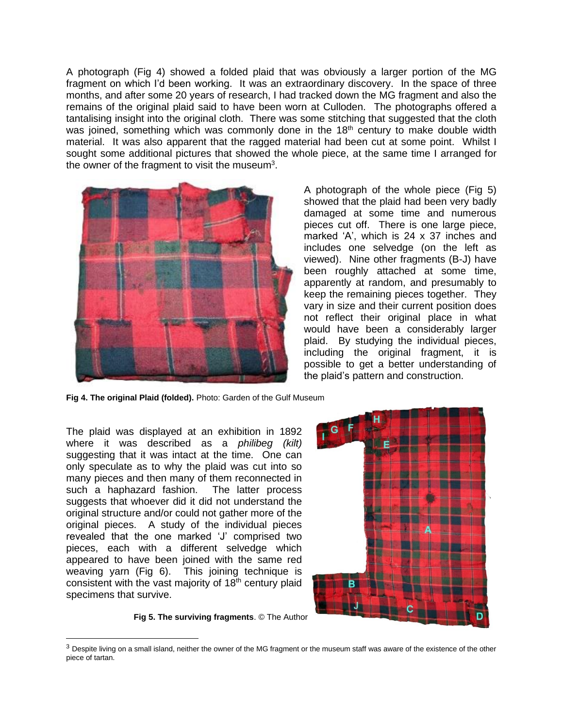A photograph (Fig 4) showed a folded plaid that was obviously a larger portion of the MG fragment on which I'd been working. It was an extraordinary discovery. In the space of three months, and after some 20 years of research, I had tracked down the MG fragment and also the remains of the original plaid said to have been worn at Culloden. The photographs offered a tantalising insight into the original cloth. There was some stitching that suggested that the cloth was joined, something which was commonly done in the  $18<sup>th</sup>$  century to make double width material. It was also apparent that the ragged material had been cut at some point. Whilst I sought some additional pictures that showed the whole piece, at the same time I arranged for the owner of the fragment to visit the museum<sup>3</sup>.



A photograph of the whole piece (Fig 5) showed that the plaid had been very badly damaged at some time and numerous pieces cut off. There is one large piece, marked 'A', which is 24 x 37 inches and includes one selvedge (on the left as viewed). Nine other fragments (B-J) have been roughly attached at some time, apparently at random, and presumably to keep the remaining pieces together. They vary in size and their current position does not reflect their original place in what would have been a considerably larger plaid. By studying the individual pieces, including the original fragment, it is possible to get a better understanding of the plaid's pattern and construction.

**Fig 4. The original Plaid (folded).** Photo: Garden of the Gulf Museum

The plaid was displayed at an exhibition in 1892 where it was described as a *philibeg (kilt)* suggesting that it was intact at the time. One can only speculate as to why the plaid was cut into so many pieces and then many of them reconnected in such a haphazard fashion. The latter process suggests that whoever did it did not understand the original structure and/or could not gather more of the original pieces. A study of the individual pieces revealed that the one marked 'J' comprised two pieces, each with a different selvedge which appeared to have been joined with the same red weaving yarn (Fig 6). This joining technique is consistent with the vast majority of  $18<sup>th</sup>$  century plaid specimens that survive.



**Fig 5. The surviving fragments**. © The Author

 $3$  Despite living on a small island, neither the owner of the MG fragment or the museum staff was aware of the existence of the other piece of tartan.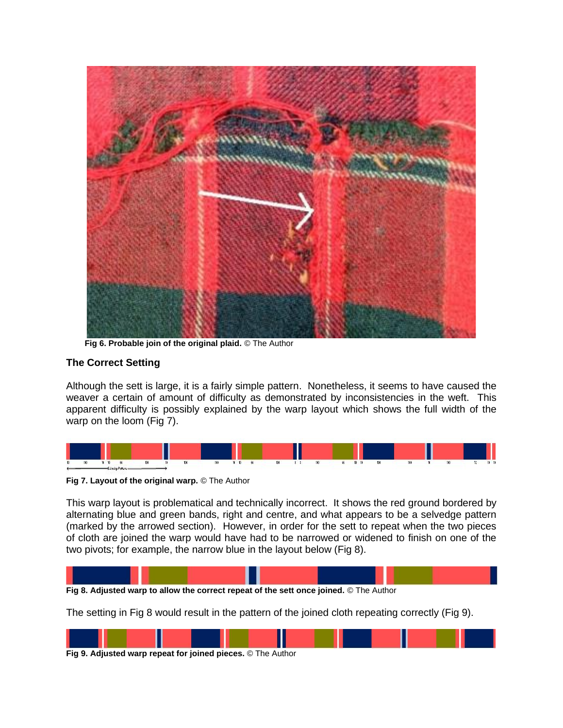

 **Fig 6. Probable join of the original plaid.** © The Author

#### **The Correct Setting**

Although the sett is large, it is a fairly simple pattern. Nonetheless, it seems to have caused the weaver a certain of amount of difficulty as demonstrated by inconsistencies in the weft. This apparent difficulty is possibly explained by the warp layout which shows the full width of the warp on the loom (Fig 7).



**Fig 7. Layout of the original warp.** © The Author

This warp layout is problematical and technically incorrect. It shows the red ground bordered by alternating blue and green bands, right and centre, and what appears to be a selvedge pattern (marked by the arrowed section). However, in order for the sett to repeat when the two pieces of cloth are joined the warp would have had to be narrowed or widened to finish on one of the two pivots; for example, the narrow blue in the layout below (Fig 8).



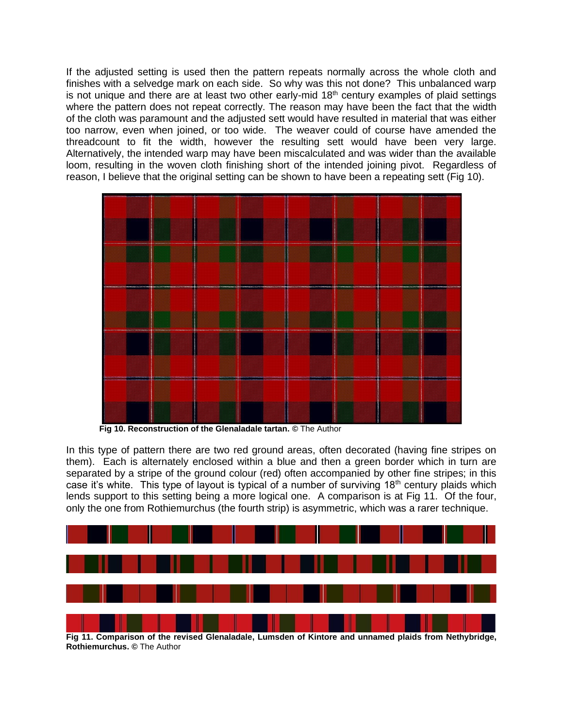If the adjusted setting is used then the pattern repeats normally across the whole cloth and finishes with a selvedge mark on each side. So why was this not done? This unbalanced warp is not unique and there are at least two other early-mid  $18<sup>th</sup>$  century examples of plaid settings where the pattern does not repeat correctly. The reason may have been the fact that the width of the cloth was paramount and the adjusted sett would have resulted in material that was either too narrow, even when joined, or too wide. The weaver could of course have amended the threadcount to fit the width, however the resulting sett would have been very large. Alternatively, the intended warp may have been miscalculated and was wider than the available loom, resulting in the woven cloth finishing short of the intended joining pivot. Regardless of reason, I believe that the original setting can be shown to have been a repeating sett (Fig 10).



**Fig 10. Reconstruction of the Glenaladale tartan. ©** The Author

In this type of pattern there are two red ground areas, often decorated (having fine stripes on them). Each is alternately enclosed within a blue and then a green border which in turn are separated by a stripe of the ground colour (red) often accompanied by other fine stripes; in this case it's white. This type of layout is typical of a number of surviving  $18<sup>th</sup>$  century plaids which lends support to this setting being a more logical one. A comparison is at Fig 11. Of the four, only the one from Rothiemurchus (the fourth strip) is asymmetric, which was a rarer technique.



**Fig 11. Comparison of the revised Glenaladale, Lumsden of Kintore and unnamed plaids from Nethybridge, Rothiemurchus. ©** The Author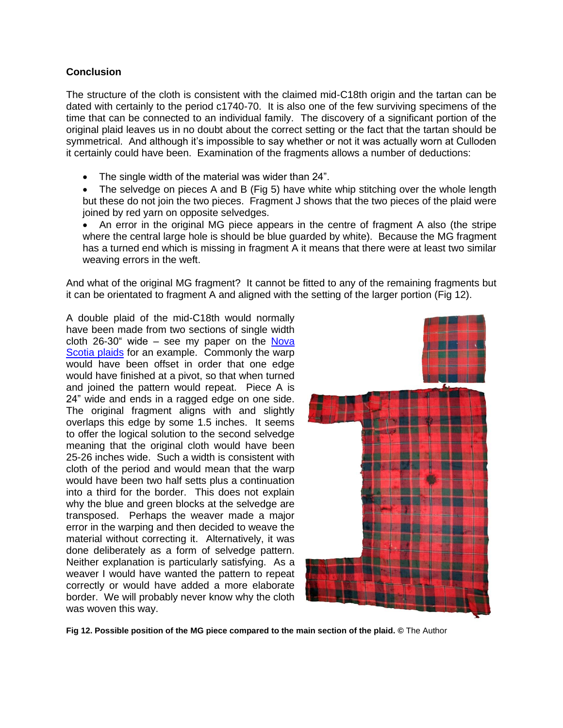#### **Conclusion**

The structure of the cloth is consistent with the claimed mid-C18th origin and the tartan can be dated with certainly to the period c1740-70. It is also one of the few surviving specimens of the time that can be connected to an individual family. The discovery of a significant portion of the original plaid leaves us in no doubt about the correct setting or the fact that the tartan should be symmetrical. And although it's impossible to say whether or not it was actually worn at Culloden it certainly could have been. Examination of the fragments allows a number of deductions:

- The single width of the material was wider than 24".
- The selvedge on pieces A and B (Fig 5) have white whip stitching over the whole length but these do not join the two pieces. Fragment J shows that the two pieces of the plaid were joined by red yarn on opposite selvedges.

• An error in the original MG piece appears in the centre of fragment A also (the stripe where the central large hole is should be blue guarded by white). Because the MG fragment has a turned end which is missing in fragment A it means that there were at least two similar weaving errors in the weft.

And what of the original MG fragment? It cannot be fitted to any of the remaining fragments but it can be orientated to fragment A and aligned with the setting of the larger portion (Fig 12).

A double plaid of the mid-C18th would normally have been made from two sections of single width cloth  $26-30$ " wide – see my paper on the Nova [Scotia plaids](http://www.scottishtartans.co.uk/Two_Plaids_from_Antigonish_County.pdf) for an example. Commonly the warp would have been offset in order that one edge would have finished at a pivot, so that when turned and joined the pattern would repeat. Piece A is 24" wide and ends in a ragged edge on one side. The original fragment aligns with and slightly overlaps this edge by some 1.5 inches. It seems to offer the logical solution to the second selvedge meaning that the original cloth would have been 25-26 inches wide. Such a width is consistent with cloth of the period and would mean that the warp would have been two half setts plus a continuation into a third for the border. This does not explain why the blue and green blocks at the selvedge are transposed. Perhaps the weaver made a major error in the warping and then decided to weave the material without correcting it. Alternatively, it was done deliberately as a form of selvedge pattern. Neither explanation is particularly satisfying. As a weaver I would have wanted the pattern to repeat correctly or would have added a more elaborate border. We will probably never know why the cloth was woven this way.



**Fig 12. Possible position of the MG piece compared to the main section of the plaid. ©** The Author